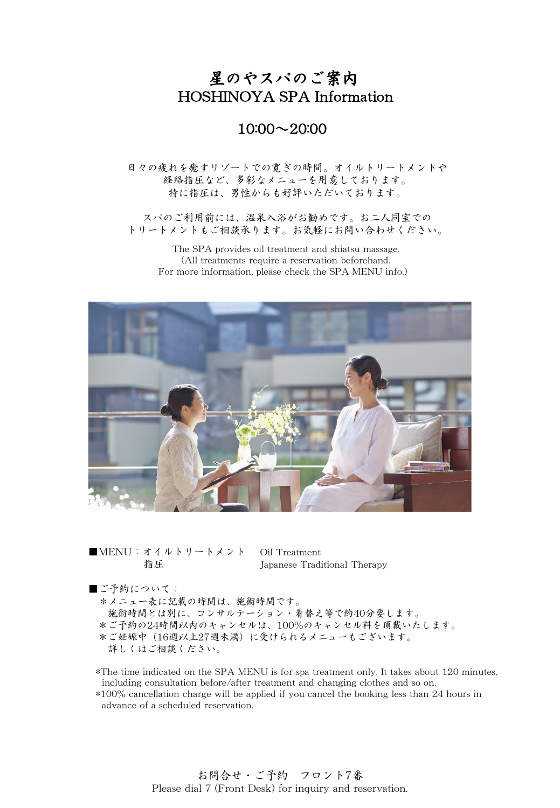## 星のやスパのご案内 HOSHINOYA SPA Information

## 10:00~20:00

日々の疲れを癒すリゾートでの寛ぎの時間。オイルトリートメントや 経絡指圧など、多彩なメニューを用意しております。 特に指圧は、男性からも好評いただいております。

スパのご利用前には、温泉入浴がお勧めです。お二人同室での トリートメントもご相談承ります。お気軽にお問い合わせください。

The SPA provides oil treatment and shiatsu massage. (All treatments require a reservation beforehand. For more information, please check the SPA MENU info.)



■MENU:オイルトリートメント Oil Treatment 指圧 Japanese Traditional Therapy

■ご予約について:

\*メニュー表に記載の時間は、施術時間です。

施術時間とは別に、コンサルテーション・着替え等で約40分要します。

\*ご予約の24時間以内のキャンセルは、100%のキャンセル料を頂戴いたします。

\*ご妊娠中(16週以上27週未満)に受けられるメニューもございます。

詳しくはご相談ください。

\*The time indicated on the SPA MENU is for spa treatment only. It takes about 120 minutes, including consultation before/after treatment and changing clothes and so on.

\*100% cancellation charge will be applied if you cancel the booking less than 24 hours in advance of a scheduled reservation.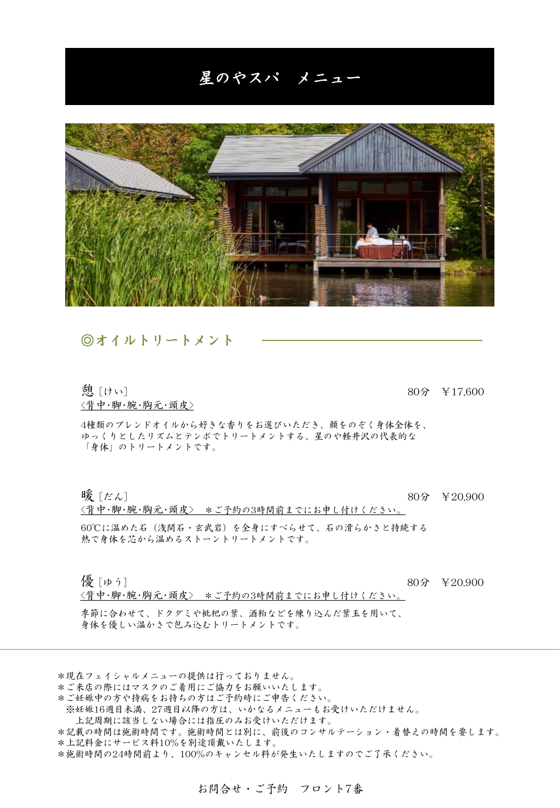## 星のやスパ メニュー



#### ◎オイルトリートメント

<背中・脚・腕・胸元・頭皮>

憩 [けい] 80分 ¥17,600

4種類のブレンドオイルから好きな香りをお選びいただき、顔をのぞく身体全体を、 ゆっくりとしたリズムとテンポでトリートメントする、星のや軽井沢の代表的な 「身体」のトリートメントです。

暖 [だん] 80分 ¥20,900

60℃に温めた石(浅間石・玄武岩)を全身にすべらせて、石の滑らかさと持続する 熱で身体を芯から温めるストーントリートメントです。

<背中・脚・腕・胸元・頭皮> \*ご予約の3時間前までにお申し付けください。

**優 [ゅう]** 80分 ¥20,900

<背中・脚・腕・胸元・頭皮> \*ご予約の3時間前までにお申し付けください。

季節に合わせて、ドクダミや枇杷の葉、酒粕などを練り込んだ葉玉を用いて、 身体を優しい温かさで包み込むトリートメントです。

\*現在フェイシャルメニューの提供は行っておりません。

- \*ご来店の際にはマスクのご着用にご協力をお願いいたします。
- \*ご妊娠中の方や持病をお持ちの方はご予約時にご申告ください。
- ※妊娠16週目未満、27週目以降の方は、いかなるメニューもお受けいただけません。

上記周期に該当しない場合には指圧のみお受けいただけます。

\*記載の時間は施術時間です。施術時間とは別に、前後のコンサルテーション・着替えの時間を要します。 \*上記料金にサービス料10%を別途頂戴いたします。

\*施術時間の24時間前より、100%のキャンセル料が発生いたしますのでご了承ください。

お問合せ・ご予約 フロント7番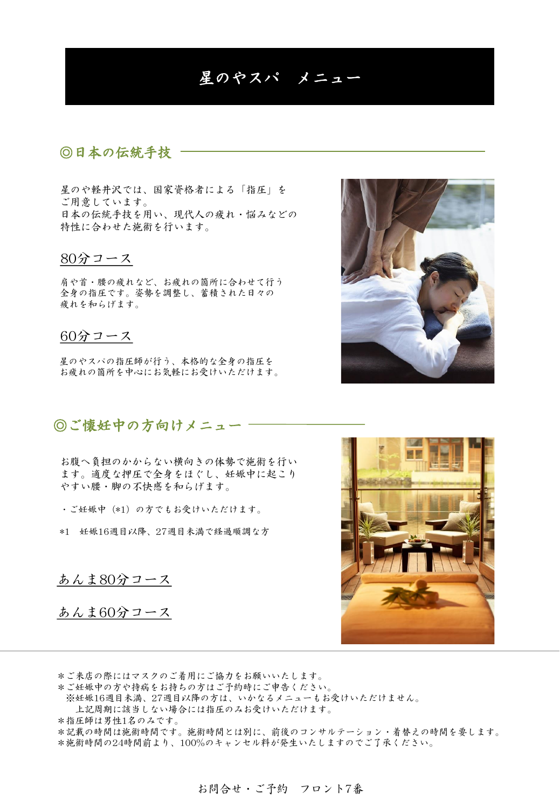## 星のやスパ メニュー

## ◎日本の伝統手技

星のや軽井沢では、国家資格者による「指圧」を ご用意しています。 日本の伝統手技を用い、現代人の疲れ・悩みなどの 特性に合わせた施術を行います。

#### 80分コース

肩や首・腰の疲れなど、お疲れの箇所に合わせて行う 全身の指圧です。姿勢を調整し、蓄積された日々の 疲れを和らげます。

### 60分コース

星のやスパの指圧師が行う、本格的な全身の指圧を お疲れの箇所を中心にお気軽にお受けいただけます。

◎ご懐妊中の方向けメニュー

お腹へ負担のかからない横向きの体勢で施術を行い ます。適度な押圧で全身をほぐし、妊娠中に起こり やすい腰・脚の不快感を和らげます。

・ご妊娠中(\*1)の方でもお受けいただけます。

\*1 妊娠16週目以降、27週目未満で経過順調な方

あんま80分コース

あんま60分コース

\*ご来店の際にはマスクのご着用にご協力をお願いいたします。

\*ご妊娠中の方や持病をお持ちの方はご予約時にご申告ください。

- ※妊娠16週目未満、27週目以降の方は、いかなるメニューもお受けいただけません。
- 上記周期に該当しない場合には指圧のみお受けいただけます。

\*指圧師は男性1名のみです。

\*記載の時間は施術時間です。施術時間とは別に、前後のコンサルテーション・着替えの時間を要します。 \*施術時間の24時間前より、100%のキャンセル料が発生いたしますのでご了承ください。



お問合せ・ご予約 フロント7番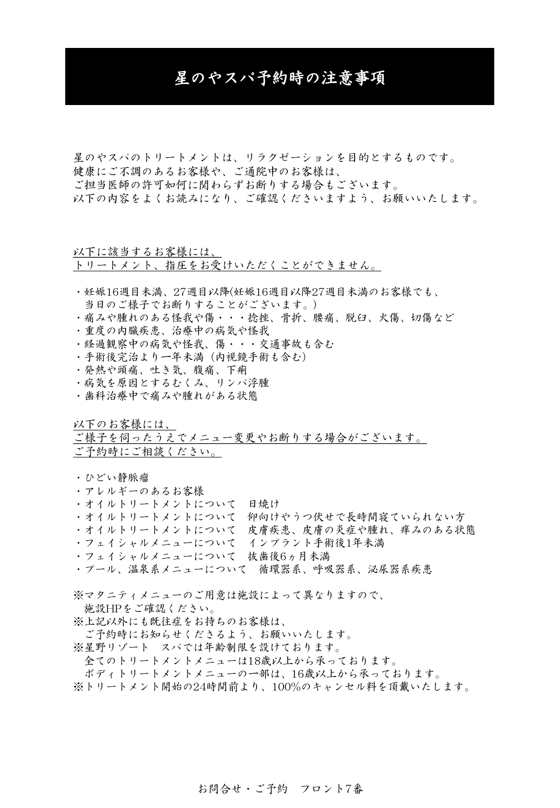## 星のやスパ予約時の注意事項

星のやスパのトリートメントは、リラクゼーションを目的とするものです。 健康にご不調のあるお客様や、ご通院中のお客様は、 ご担当医師の許可如何に関わらずお断りする場合もございます。 以下の内容をよくお読みになり、ご確認くださいますよう、お願いいたします。

以下に該当するお客様には、 トリートメント、指圧をお受けいただくことができません。

- ・妊娠16週目未満、27週目以降(妊娠16週目以降27週目未満のお客様でも、 当日のご様子でお断りすることがございます。)
- ・痛みや腫れのある怪我や傷・・・捻挫、骨折、腰痛、脱臼、火傷、切傷など
- ・重度の内臓疾患、治療中の病気や怪我
- ・経過観察中の病気や怪我、傷・・・交通事故も含む
- ・手術後完治より一年未満(内視鏡手術も含む)
- ・発熱や頭痛、吐き気、腹痛、下痢
- ・病気を原因とするむくみ、リンパ浮腫
- ・歯科治療中で痛みや腫れがある状態

以下のお客様には、

ご様子を伺ったうえでメニュー変更やお断りする場合がございます。 ご予約時にご相談ください。

・ひどい静脈瘤

- ・アレルギーのあるお客様
- ・オイルトリートメントについて 日焼け
- ・オイルトリートメントについて 仰向けやうつ伏せで長時間寝ていられない方
- ・オイルトリートメントについて 皮膚疾患、皮膚の炎症や腫れ、痒みのある状態
- ・フェイシャルメニューについて インプラント手術後1年未満
- ・フェイシャルメニューについて 抜歯後6ヵ月未満
- ・プール、温泉系メニューについて 循環器系、呼吸器系、泌尿器系疾患

※マタニティメニューのご用意は施設によって異なりますので、

- 施設HPをご確認ください。
- ※上記以外にも既往症をお持ちのお客様は、
- ご予約時にお知らせくださるよう、お願いいたします。
- ※星野リゾート スパでは年齢制限を設けております。
- 全てのトリートメントメニューは18歳以上から承っております。
- ボディトリートメントメニューの一部は、16歳以上から承っております。
- ※トリートメント開始の24時間前より、100%のキャンセル料を頂戴いたします。

#### お問合せ・ご予約 フロント7番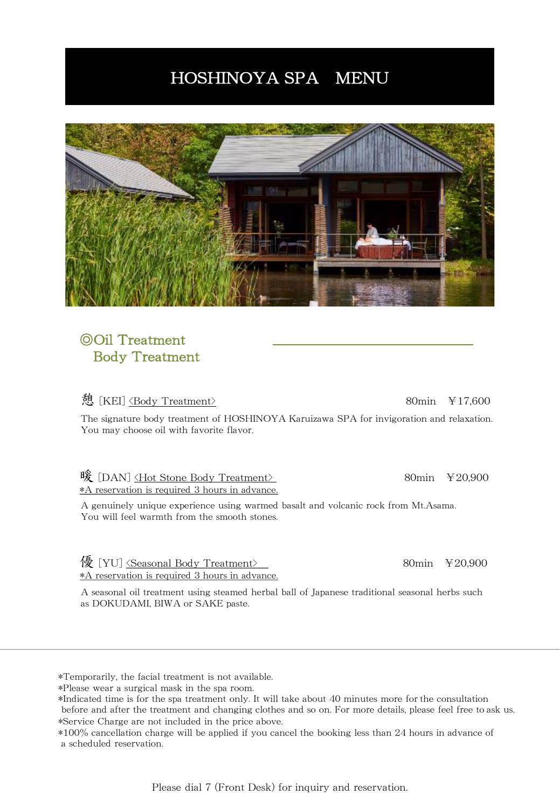# HOSHINOYA SPA MENU



## ◎Oil Treatment Body Treatment

#### 憩 [KEI] <Body Treatment> 80min ¥17,600

The signature body treatment of HOSHINOYA Karuizawa SPA for invigoration and relaxation. You may choose oil with favorite flavor.

## 暖 [DAN] <Hot Stone Body Treatment> 80min ¥20,900

\*A reservation is required 3 hours in advance.

A genuinely unique experience using warmed basalt and volcanic rock from Mt.Asama. You will feel warmth from the smooth stones.

像 [YU] <u><Seasonal Body Treatment></u> 80min ¥20,900 \*A reservation is required 3 hours in advance.

A seasonal oil treatment using steamed herbal ball of Japanese traditional seasonal herbs such as DOKUDAMI, BIWA or SAKE paste.

\*Temporarily, the facial treatment is not available.

\*Please wear a surgical mask in the spa room.

\*Indicated time is for the spa treatment only. It will take about 40 minutes more for the consultation before and after the treatment and changing clothes and so on. For more details, please feel free to ask us. \*Service Charge are not included in the price above.

\*100% cancellation charge will be applied if you cancel the booking less than 24 hours in advance of a scheduled reservation.

Please dial 7 (Front Desk) for inquiry and reservation.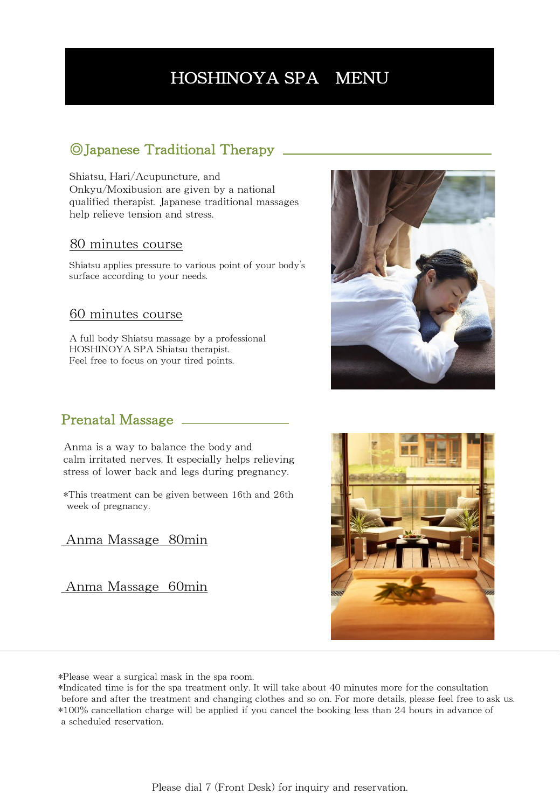# HOSHINOYA SPA MENU

## ◎Japanese Traditional Therapy

Shiatsu, Hari/Acupuncture, and Onkyu/Moxibusion are given by a national qualified therapist. Japanese traditional massages help relieve tension and stress.

#### 80 minutes course

Shiatsu applies pressure to various point of your body's surface according to your needs.

#### 60 minutes course

A full body Shiatsu massage by a professional HOSHINOYA SPA Shiatsu therapist. Feel free to focus on your tired points.



### Prenatal Massage

Anma is a way to balance the body and calm irritated nerves. It especially helps relieving stress of lower back and legs during pregnancy.

\*This treatment can be given between 16th and 26th week of pregnancy.

#### Anma Massage 80min

Anma Massage 60min



\*Please wear a surgical mask in the spa room.

<sup>\*</sup>Indicated time is for the spa treatment only. It will take about 40 minutes more for the consultation before and after the treatment and changing clothes and so on. For more details, please feel free to ask us. \*100% cancellation charge will be applied if you cancel the booking less than 24 hours in advance of a scheduled reservation.